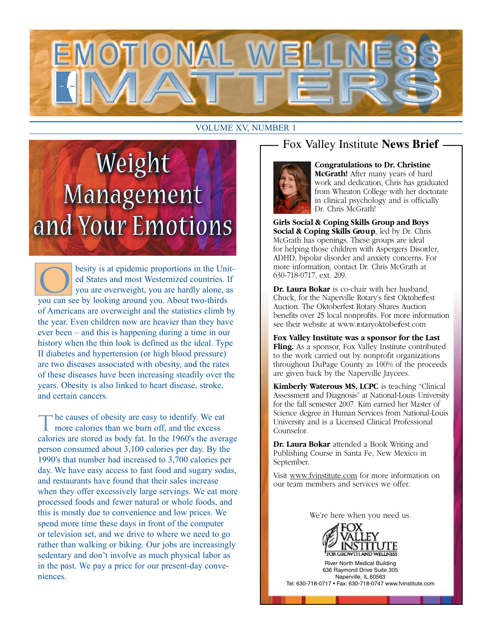

### VOLUME XV, NUMBER 1

# Weight Management and Your Emotions

besity is at epidemic proportions in the Unit-<br>
ed States and most Westernized countries. If<br>
you are overweight, you are hardly alone, as ed States and most Westernized countries. If you can see by looking around you. About two-thirds of Americans are overweight and the statistics climb by the year. Even children now are heavier than they have ever been – and this is happening during a time in our history when the thin look is defined as the ideal. Type II diabetes and hypertension (or high blood pressure) are two diseases associated with obesity, and the rates of these diseases have been increasing steadily over the years. Obesity is also linked to heart disease, stroke, and certain cancers.

The causes of obesity are easy to identify. We eat more calories than we burn off, and the excess calories are stored as body fat. In the 1960's the average person consumed about 3,100 calories per day. By the 1990's that number had increased to 3,700 calories per day. We have easy access to fast food and sugary sodas, and restaurants have found that their sales increase when they offer excessively large servings. We eat more processed foods and fewer natural or whole foods, and this is mostly due to convenience and low prices. We spend more time these days in front of the computer or television set, and we drive to where we need to go rather than walking or biking. Our jobs are increasingly sedentary and don't involve as much physical labor as in the past. We pay a price for our present-day conveniences.

### Fox Valley Institute **News Brief**



### **Congratulations to Dr. Christine McGrath!** After many years of hard work and dedication, Chris has graduated from Wheaton College with her doctorate in clinical psychology and is officially Dr. Chris McGrath!

**Girls Social & Coping Skills Group and Boys Social & Coping Skills Group**, led by Dr. Chris McGrath has openings. These groups are ideal for helping those children with Aspergers Disorder, ADHD, bipolar disorder and anxiety concerns. For more information, contact Dr. Chris McGrath at 630-718-0717, ext. 209.

**Dr. Laura Bokar** is co-chair with her husband, Chuck, for the Naperville Rotary's first Oktoberfest Auction. The Oktoberfest Rotary Shares Auction benefits over 25 local nonprofits. For more information see their website at www.rotaryoktoberfest.com

**Fox Valley Institute was a sponsor for the Last** Fling. As a sponsor, Fox Valley Institute contributed to the work carried out by nonprofit organizations throughout DuPage County as 100% of the proceeds are given back by the Naperville Jaycees.

**Kimberly Waterous MS, LCPC** is teaching "Clinical Assessment and Diagnosis" at National-Louis University for the fall semester 2007. Kim earned her Master of Science degree in Human Services from National-Louis University and is a Licensed Clinical Professional Counselor.

**Dr. Laura Bokar** attended a Book Writing and Publishing Course in Santa Fe, New Mexico in September.

Visit www.fvinstitute.com for more information on our team members and services we offer.

We're here when you need us.



River North Medical Building 636 Raymond Drive Suite 305 Naperville, IL 60563 Tel: 630-718-0717 • Fax: 630-718-0747 www.fvinstitute.com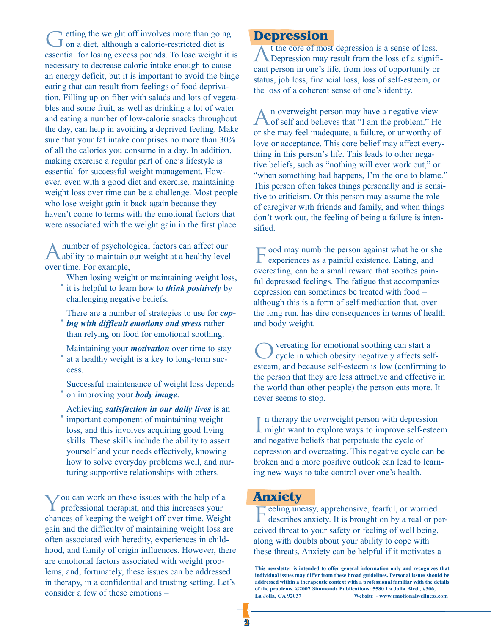Getting the weight off involves more than going<br>
on a diet, although a calorie-restricted diet is essential for losing excess pounds. To lose weight it is necessary to decrease caloric intake enough to cause an energy deficit, but it is important to avoid the binge eating that can result from feelings of food deprivation. Filling up on fiber with salads and lots of vegetables and some fruit, as well as drinking a lot of water and eating a number of low-calorie snacks throughout the day, can help in avoiding a deprived feeling. Make sure that your fat intake comprises no more than 30% of all the calories you consume in a day. In addition, making exercise a regular part of one's lifestyle is essential for successful weight management. However, even with a good diet and exercise, maintaining weight loss over time can be a challenge. Most people who lose weight gain it back again because they haven't come to terms with the emotional factors that were associated with the weight gain in the first place.

Anumber of psychological factors can affect our ability to maintain our weight at a healthy level over time. For example,

- When losing weight or maintaining weight loss,
- When losing weight or maintaining weight loss<br>
it is helpful to learn how to **think positively** by challenging negative beliefs.
- There are a number of strategies to use for *cop-*
- · *ing with difficult emotions and stress* rather than relying on food for emotional soothing.
- Maintaining your *motivation* over time to stay
- · at a healthy weight is a key to long-term success.
- · Successful maintenance of weight loss depends on improving your *body image*.
- Achieving *satisfaction in our daily lives* is a important component of maintaining weight Achieving *satisfaction in our daily lives* is an loss, and this involves acquiring good living skills. These skills include the ability to assert yourself and your needs effectively, knowing how to solve everyday problems well, and nurturing supportive relationships with others.

ou can work on these issues with the help of a professional therapist, and this increases your chances of keeping the weight off over time. Weight gain and the difficulty of maintaining weight loss are often associated with heredity, experiences in childhood, and family of origin influences. However, there are emotional factors associated with weight problems, and, fortunately, these issues can be addressed in therapy, in a confidential and trusting setting. Let's consider a few of these emotions –

### **Depression**

At the core of most depression is a sense of loss. Depression may result from the loss of a significant person in one's life, from loss of opportunity or status, job loss, financial loss, loss of self-esteem, or the loss of a coherent sense of one's identity.

An overweight person may have a negative view of self and believes that "I am the problem." He or she may feel inadequate, a failure, or unworthy of love or acceptance. This core belief may affect everything in this person's life. This leads to other negative beliefs, such as "nothing will ever work out," or "when something bad happens, I'm the one to blame." This person often takes things personally and is sensitive to criticism. Or this person may assume the role of caregiver with friends and family, and when things don't work out, the feeling of being a failure is intensified.

Food may numb the person against what he or she experiences as a painful existence. Eating, and overeating, can be a small reward that soothes painful depressed feelings. The fatigue that accompanies depression can sometimes be treated with food – although this is a form of self-medication that, over the long run, has dire consequences in terms of health and body weight.

Overeating for emotional soothing can start a cycle in which obesity negatively affects selfesteem, and because self-esteem is low (confirming to the person that they are less attractive and effective in the world than other people) the person eats more. It never seems to stop.

I n therapy the overweight person with depression might want to explore ways to improve self-esteem and negative beliefs that perpetuate the cycle of depression and overeating. This negative cycle can be broken and a more positive outlook can lead to learning new ways to take control over one's health.

**Anxiety**<br> **F** eeling uneasy, apprehensive, fearful, or worried Feeling uneasy, apprehensive, fearful, or worried describes anxiety. It is brought on by a real or perceived threat to your safety or feeling of well being, along with doubts about your ability to cope with these threats. Anxiety can be helpful if it motivates a

**This newsletter is intended to offer general information only and recognizes that individual issues may differ from these broad guidelines. Personal issues should be addressed within a therapeutic context with a professional familiar with the details of the problems. ©2007 Simmonds Publications: 5580 La Jolla Blvd., #306,**  Website ~ www.emotionalwellness.com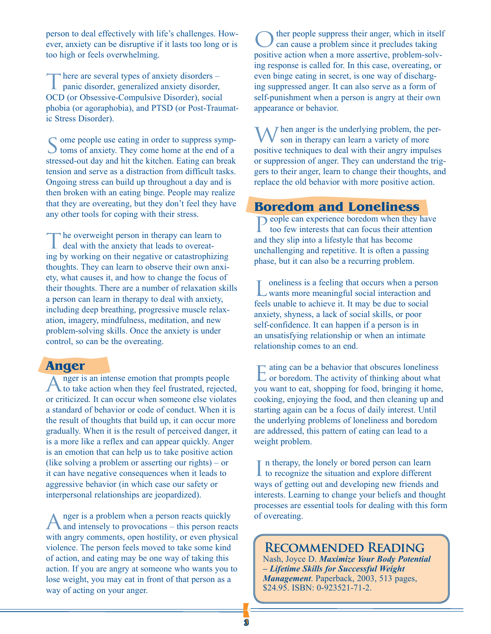person to deal effectively with life's challenges. However, anxiety can be disruptive if it lasts too long or is too high or feels overwhelming.

There are several types of anxiety disorders – panic disorder, generalized anxiety disorder, OCD (or Obsessive-Compulsive Disorder), social phobia (or agoraphobia), and PTSD (or Post-Traumatic Stress Disorder).

 $\bigcap$  ome people use eating in order to suppress symptoms of anxiety. They come home at the end of a stressed-out day and hit the kitchen. Eating can break tension and serve as a distraction from difficult tasks. Ongoing stress can build up throughout a day and is then broken with an eating binge. People may realize that they are overeating, but they don't feel they have any other tools for coping with their stress.

The overweight person in therapy can learn to deal with the anxiety that leads to overeating by working on their negative or catastrophizing thoughts. They can learn to observe their own anxiety, what causes it, and how to change the focus of their thoughts. There are a number of relaxation skills a person can learn in therapy to deal with anxiety, including deep breathing, progressive muscle relaxation, imagery, mindfulness, meditation, and new problem-solving skills. Once the anxiety is under control, so can be the overeating.

### **Anger**

A nger is an intense emotion that prompts people<br>to take action when they feel frustrated, rejected, or criticized. It can occur when someone else violates a standard of behavior or code of conduct. When it is the result of thoughts that build up, it can occur more gradually. When it is the result of perceived danger, it is a more like a reflex and can appear quickly. Anger is an emotion that can help us to take positive action (like solving a problem or asserting our rights) – or it can have negative consequences when it leads to aggressive behavior (in which case our safety or interpersonal relationships are jeopardized).

A nger is a problem when a person reacts quickly<br>and intensely to provocations – this person reacts with angry comments, open hostility, or even physical violence. The person feels moved to take some kind of action, and eating may be one way of taking this action. If you are angry at someone who wants you to lose weight, you may eat in front of that person as a way of acting on your anger.

Other people suppress their anger, which in itself can cause a problem since it precludes taking positive action when a more assertive, problem-solving response is called for. In this case, overeating, or even binge eating in secret, is one way of discharging suppressed anger. It can also serve as a form of self-punishment when a person is angry at their own appearance or behavior.

 $\overline{V}$  hen anger is the underlying problem, the person in therapy can learn a variety of more positive techniques to deal with their angry impulses or suppression of anger. They can understand the triggers to their anger, learn to change their thoughts, and replace the old behavior with more positive action.

### **Boredom and Loneliness**

**People can experience boredom when they have** too few interests that can focus their attention and they slip into a lifestyle that has become unchallenging and repetitive. It is often a passing phase, but it can also be a recurring problem.

Loneliness is a feeling that occurs when a person wants more meaningful social interaction and feels unable to achieve it. It may be due to social anxiety, shyness, a lack of social skills, or poor self-confidence. It can happen if a person is in an unsatisfying relationship or when an intimate relationship comes to an end.

Eating can be a behavior that obscures loneliness or boredom. The activity of thinking about what you want to eat, shopping for food, bringing it home, cooking, enjoying the food, and then cleaning up and starting again can be a focus of daily interest. Until the underlying problems of loneliness and boredom are addressed, this pattern of eating can lead to a weight problem.

In the rapy, the lonely or bored person can learn<br>to recognize the situation and explore different n therapy, the lonely or bored person can learn ways of getting out and developing new friends and interests. Learning to change your beliefs and thought processes are essential tools for dealing with this form of overeating.

### **Recommended Reading**

Nash, Joyce D. *Maximize Your Body Potential – Lifetime Skills for Successful Weight Management*. Paperback, 2003, 513 pages, \$24.95. ISBN: 0-923521-71-2.